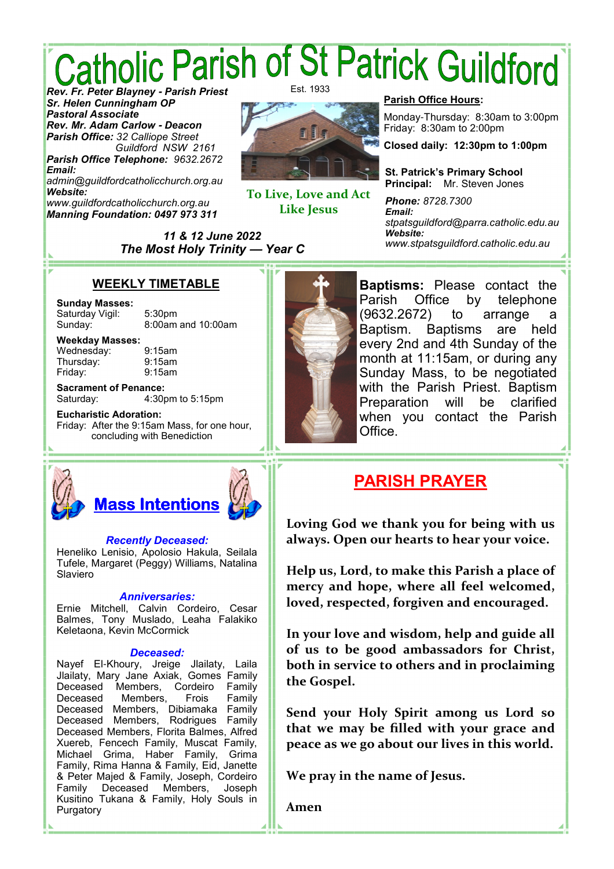# *Catholic Parish of St Patrick Guildford<br>Rev. Er. Peter Blayney - Parish Priest*

*Sr. Helen Cunningham OP Pastoral Associate Rev. Mr. Adam Carlow* **-** *Deacon Parish Office: 32 Calliope Street Guildford NSW 2161 Parish Office Telephone: 9632.2672*

*Email: admin@guildfordcatholicchurch.org.au Website: www.guildfordcatholicchurch.org.au Manning Foundation: 0497 973 311*

Est. 1933



**To Live, Love and Act Like Jesus** 

#### **Parish Office Hours:**

Monday-Thursday: 8:30am to 3:00pm Friday: 8:30am to 2:00pm

**Closed daily: 12:30pm to 1:00pm**

**St. Patrick's Primary School Principal:** Mr. Steven Jones

*Phone: 8728.7300 Email: stpatsguildford@parra.catholic.edu.au Website: www.stpatsguildford.catholic.edu.au*

### **WEEKLY TIMETABLE**

*11 & 12 June 2022 The Most Holy Trinity* **—** *Year C*

## **Sunday Masses:**

Saturday Vigil: 5:30pm Sunday: 8:00am and 10:00am

**Weekday Masses:** Wednesday: 9:15am Thursday: 9:15am

Friday: 9:15am

**Sacrament of Penance:** Saturday: 4:30pm to 5:15pm

**Eucharistic Adoration:** Friday: After the 9:15am Mass, for one hour, concluding with Benediction



**Baptisms:** Please contact the Parish Office by telephone (9632.2672) to arrange a Baptism. Baptisms are held every 2nd and 4th Sunday of the month at 11:15am, or during any Sunday Mass, to be negotiated with the Parish Priest. Baptism Preparation will be clarified when you contact the Parish Office.

## **PARISH PRAYER**

**Loving God we thank you for being with us always. Open our hearts to hear your voice.** 

**Help us, Lord, to make this Parish a place of mercy and hope, where all feel welcomed, loved, respected, forgiven and encouraged.** 

**In your love and wisdom, help and guide all of us to be good ambassadors for Christ, both in service to others and in proclaiming the Gospel.** 

**Send your Holy Spirit among us Lord so that we may be filled with your grace and peace as we go about our lives in this world.** 

**We pray in the name of Jesus.** 

**Amen** 

*Recently Deceased:*

**Mass Intentions**

Heneliko Lenisio, Apolosio Hakula, Seilala Tufele, Margaret (Peggy) Williams, Natalina Slaviero

#### *Anniversaries:*

Ernie Mitchell, Calvin Cordeiro, Cesar Balmes, Tony Muslado, Leaha Falakiko Keletaona, Kevin McCormick

#### *Deceased:*

Nayef El-Khoury, Jreige Jlailaty, Laila Jlailaty, Mary Jane Axiak, Gomes Family Deceased Members, Cordeiro Family Deceased Members, Frois Family Deceased Members, Dibiamaka Family Deceased Members, Rodrigues Family Deceased Members, Florita Balmes, Alfred Xuereb, Fencech Family, Muscat Family, Michael Grima, Haber Family, Grima Family, Rima Hanna & Family, Eid, Janette & Peter Majed & Family, Joseph, Cordeiro Family Deceased Members, Joseph Kusitino Tukana & Family, Holy Souls in **Purgatory**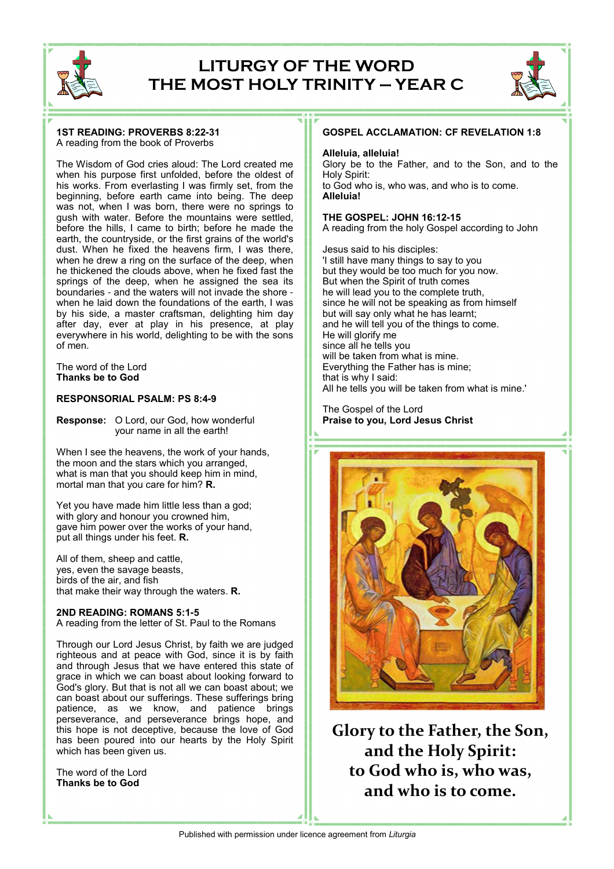

## **LITURGY OF THE WORD THE MOST HOLY TRINITY — YEAR C**



#### **1ST READING: PROVERBS 8:22-31** A reading from the book of Proverbs

The Wisdom of God cries aloud: The Lord created me when his purpose first unfolded, before the oldest of his works. From everlasting I was firmly set, from the beginning, before earth came into being. The deep was not, when I was born, there were no springs to gush with water. Before the mountains were settled, before the hills, I came to birth; before he made the earth, the countryside, or the first grains of the world's dust. When he fixed the heavens firm, I was there, when he drew a ring on the surface of the deep, when he thickened the clouds above, when he fixed fast the springs of the deep, when he assigned the sea its boundaries - and the waters will not invade the shore when he laid down the foundations of the earth, I was by his side, a master craftsman, delighting him day after day, ever at play in his presence, at play everywhere in his world, delighting to be with the sons of men.

The word of the Lord **Thanks be to God**

#### **RESPONSORIAL PSALM: PS 8:4-9**

**Response:** O Lord, our God, how wonderful your name in all the earth!

When I see the heavens, the work of your hands, the moon and the stars which you arranged, what is man that you should keep him in mind, mortal man that you care for him? **R.**

Yet you have made him little less than a god; with glory and honour you crowned him, gave him power over the works of your hand, put all things under his feet. **R.**

All of them, sheep and cattle, yes, even the savage beasts, birds of the air, and fish that make their way through the waters. **R.**

**2ND READING: ROMANS 5:1-5** A reading from the letter of St. Paul to the Romans

Through our Lord Jesus Christ, by faith we are judged righteous and at peace with God, since it is by faith and through Jesus that we have entered this state of grace in which we can boast about looking forward to God's glory. But that is not all we can boast about; we can boast about our sufferings. These sufferings bring patience, as we know, and patience brings perseverance, and perseverance brings hope, and this hope is not deceptive, because the love of God has been poured into our hearts by the Holy Spirit which has been given us.

The word of the Lord **Thanks be to God**

#### **GOSPEL ACCLAMATION: CF REVELATION 1:8**

#### **Alleluia, alleluia!**

Glory be to the Father, and to the Son, and to the Holy Spirit: to God who is, who was, and who is to come. **Alleluia!**

**THE GOSPEL: JOHN 16:12-15**

A reading from the holy Gospel according to John

Jesus said to his disciples: 'I still have many things to say to you but they would be too much for you now. But when the Spirit of truth comes he will lead you to the complete truth, since he will not be speaking as from himself but will say only what he has learnt; and he will tell you of the things to come. He will glorify me since all he tells you will be taken from what is mine. Everything the Father has is mine; that is why I said: All he tells you will be taken from what is mine.'

The Gospel of the Lord **Praise to you, Lord Jesus Christ**



**Glory to the Father, the Son, and the Holy Spirit: to God who is, who was, and who is to come.**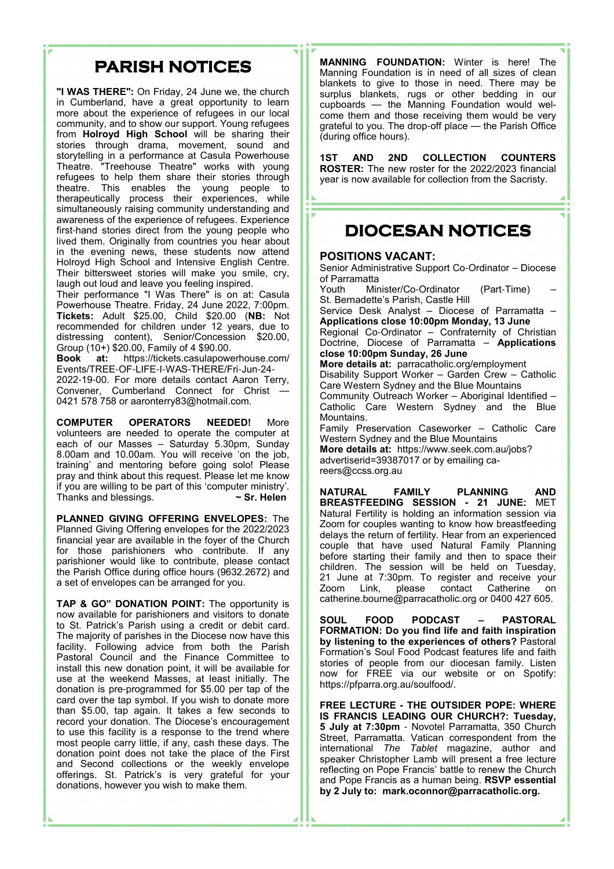## **PARISH NOTICES**

**"I WAS THERE":** On Friday, 24 June we, the church in Cumberland, have a great opportunity to learn more about the experience of refugees in our local community, and to show our support. Young refugees from **Holroyd High School** will be sharing their stories through drama, movement, sound and storytelling in a performance at Casula Powerhouse Theatre. "Treehouse Theatre" works with young refugees to help them share their stories through theatre. This enables the young people to therapeutically process their experiences, while simultaneously raising community understanding and awareness of the experience of refugees. Experience first-hand stories direct from the young people who lived them. Originally from countries you hear about in the evening news, these students now attend Holroyd High School and Intensive English Centre. Their bittersweet stories will make you smile, cry, laugh out loud and leave you feeling inspired.

Their performance "I Was There" is on at: Casula Powerhouse Theatre. Friday, 24 June 2022, 7:00pm. **Tickets:** Adult \$25.00, Child \$20.00 (**NB:** Not recommended for children under 12 years, due to distressing content), Senior/Concession \$20.00, Group (10+) \$20.00, Family of 4 \$90.00.

**Book at:** https://tickets.casulapowerhouse.com/ Events/TREE-OF-LIFE-I-WAS-THERE/Fri-Jun-24- 2022-19-00. For more details contact Aaron Terry, Convener, Cumberland Connect for Christ 0421 578 758 or aaronterry83@hotmail.com.

**COMPUTER OPERATORS NEEDED!** More volunteers are needed to operate the computer at each of our Masses – Saturday 5.30pm, Sunday 8.00am and 10.00am. You will receive 'on the job, training' and mentoring before going solo! Please pray and think about this request. Please let me know if you are willing to be part of this 'computer ministry'. Thanks and blessings. **~ Sr. Helen**

**PLANNED GIVING OFFERING ENVELOPES:** The Planned Giving Offering envelopes for the 2022/2023 financial year are available in the foyer of the Church for those parishioners who contribute. If any parishioner would like to contribute, please contact the Parish Office during office hours (9632.2672) and a set of envelopes can be arranged for you.

**TAP & GO" DONATION POINT:** The opportunity is now available for parishioners and visitors to donate to St. Patrick's Parish using a credit or debit card. The majority of parishes in the Diocese now have this facility. Following advice from both the Parish Pastoral Council and the Finance Committee to install this new donation point, it will be available for use at the weekend Masses, at least initially. The donation is pre-programmed for \$5.00 per tap of the card over the tap symbol. If you wish to donate more than \$5.00, tap again. It takes a few seconds to record your donation. The Diocese's encouragement to use this facility is a response to the trend where most people carry little, if any, cash these days. The donation point does not take the place of the First and Second collections or the weekly envelope offerings. St. Patrick's is very grateful for your donations, however you wish to make them.

**MANNING FOUNDATION:** Winter is here! The Manning Foundation is in need of all sizes of clean blankets to give to those in need. There may be surplus blankets, rugs or other bedding in our cupboards — the Manning Foundation would welcome them and those receiving them would be very grateful to you. The drop-off place — the Parish Office (during office hours).

**1ST AND 2ND COLLECTION COUNTERS ROSTER:** The new roster for the 2022/2023 financial year is now available for collection from the Sacristy.

## **DIOCESAN NOTICES**

#### **POSITIONS VACANT:**

Senior Administrative Support Co-Ordinator – Diocese of Parramatta

Youth Minister/Co-Ordinator (Part-Time) – St. Bernadette's Parish, Castle Hill

Service Desk Analyst – Diocese of Parramatta – **Applications close 10:00pm Monday, 13 June**

Regional Co-Ordinator – Confraternity of Christian Doctrine, Diocese of Parramatta – **Applications close 10:00pm Sunday, 26 June**

**More details at:** parracatholic.org/employment Disability Support Worker – Garden Crew – Catholic

Care Western Sydney and the Blue Mountains Community Outreach Worker – Aboriginal Identified – Catholic Care Western Sydney and the Blue Mountains.

Family Preservation Caseworker – Catholic Care Western Sydney and the Blue Mountains **More details at:** https://www.seek.com.au/jobs?

advertiserid=39387017 or by emailing careers@ccss.org.au

**NATURAL FAMILY PLANNING AND BREASTFEEDING SESSION - 21 JUNE:** MET Natural Fertility is holding an information session via Zoom for couples wanting to know how breastfeeding delays the return of fertility. Hear from an experienced couple that have used Natural Family Planning before starting their family and then to space their children. The session will be held on Tuesday, 21 June at 7:30pm. To register and receive your Zoom Link, please contact Catherine on catherine.bourne@parracatholic.org or 0400 427 605.

**SOUL FOOD PODCAST – PASTORAL FORMATION: Do you find life and faith inspiration by listening to the experiences of others?** Pastoral Formation's Soul Food Podcast features life and faith stories of people from our diocesan family. Listen now for FREE via our website or on Spotify: https://pfparra.org.au/soulfood/.

**FREE LECTURE - THE OUTSIDER POPE: WHERE IS FRANCIS LEADING OUR CHURCH?: Tuesday, 5 July at 7:30pm** - Novotel Parramatta, 350 Church Street, Parramatta. Vatican correspondent from the international *The Tablet* magazine, author and speaker Christopher Lamb will present a free lecture reflecting on Pope Francis' battle to renew the Church and Pope Francis as a human being. **RSVP essential by 2 July to: mark.oconnor@parracatholic.org.**